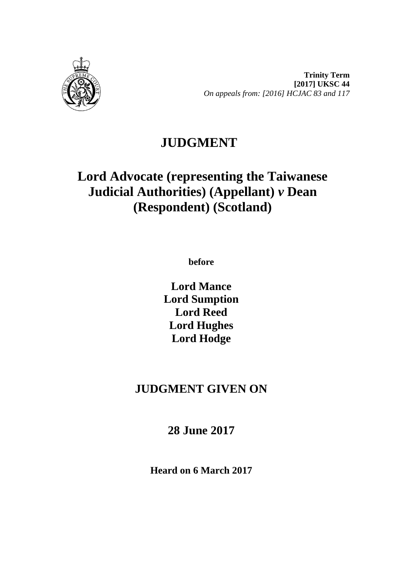

**Trinity Term [2017] UKSC 44** *On appeals from: [2016] HCJAC 83 and 117*

## **JUDGMENT**

# **Lord Advocate (representing the Taiwanese Judicial Authorities) (Appellant)** *v* **Dean (Respondent) (Scotland)**

**before** 

**Lord Mance Lord Sumption Lord Reed Lord Hughes Lord Hodge**

## **JUDGMENT GIVEN ON**

**28 June 2017**

**Heard on 6 March 2017**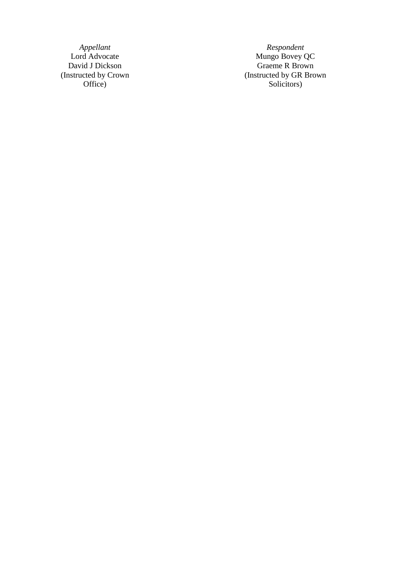(Instructed by Crown Office )

*Appellant Respondent* Lord Advocate **Mungo Bovey QC** David J Dickson Graeme R Brown (Instructed by GR Brown Solicitors )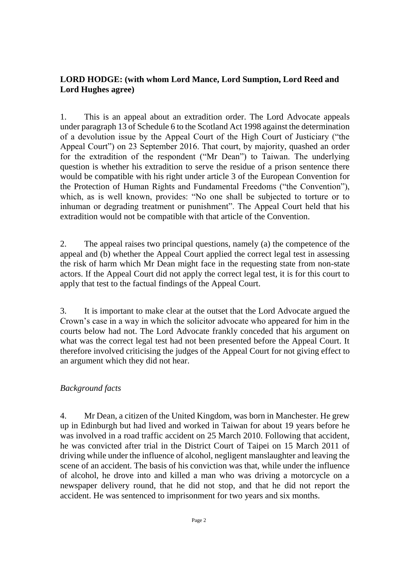#### **LORD HODGE: (with whom Lord Mance, Lord Sumption, Lord Reed and Lord Hughes agree)**

1. This is an appeal about an extradition order. The Lord Advocate appeals under paragraph 13 of Schedule 6 to the Scotland Act 1998 against the determination of a devolution issue by the Appeal Court of the High Court of Justiciary ("the Appeal Court") on 23 September 2016. That court, by majority, quashed an order for the extradition of the respondent ("Mr Dean") to Taiwan. The underlying question is whether his extradition to serve the residue of a prison sentence there would be compatible with his right under article 3 of the European Convention for the Protection of Human Rights and Fundamental Freedoms ("the Convention"), which, as is well known, provides: "No one shall be subjected to torture or to inhuman or degrading treatment or punishment". The Appeal Court held that his extradition would not be compatible with that article of the Convention.

2. The appeal raises two principal questions, namely (a) the competence of the appeal and (b) whether the Appeal Court applied the correct legal test in assessing the risk of harm which Mr Dean might face in the requesting state from non-state actors. If the Appeal Court did not apply the correct legal test, it is for this court to apply that test to the factual findings of the Appeal Court.

3. It is important to make clear at the outset that the Lord Advocate argued the Crown's case in a way in which the solicitor advocate who appeared for him in the courts below had not. The Lord Advocate frankly conceded that his argument on what was the correct legal test had not been presented before the Appeal Court. It therefore involved criticising the judges of the Appeal Court for not giving effect to an argument which they did not hear.

### *Background facts*

4. Mr Dean, a citizen of the United Kingdom, was born in Manchester. He grew up in Edinburgh but had lived and worked in Taiwan for about 19 years before he was involved in a road traffic accident on 25 March 2010. Following that accident, he was convicted after trial in the District Court of Taipei on 15 March 2011 of driving while under the influence of alcohol, negligent manslaughter and leaving the scene of an accident. The basis of his conviction was that, while under the influence of alcohol, he drove into and killed a man who was driving a motorcycle on a newspaper delivery round, that he did not stop, and that he did not report the accident. He was sentenced to imprisonment for two years and six months.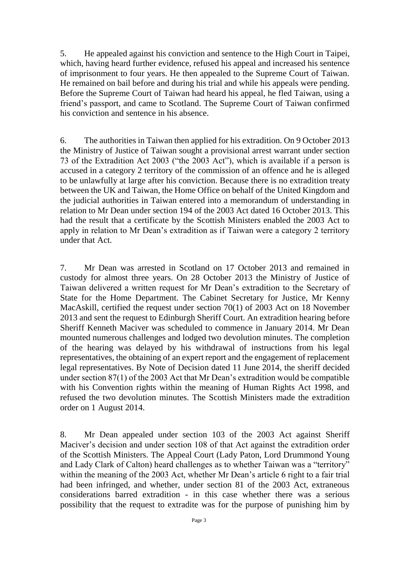5. He appealed against his conviction and sentence to the High Court in Taipei, which, having heard further evidence, refused his appeal and increased his sentence of imprisonment to four years. He then appealed to the Supreme Court of Taiwan. He remained on bail before and during his trial and while his appeals were pending. Before the Supreme Court of Taiwan had heard his appeal, he fled Taiwan, using a friend's passport, and came to Scotland. The Supreme Court of Taiwan confirmed his conviction and sentence in his absence.

6. The authorities in Taiwan then applied for his extradition. On 9 October 2013 the Ministry of Justice of Taiwan sought a provisional arrest warrant under section 73 of the Extradition Act 2003 ("the 2003 Act"), which is available if a person is accused in a category 2 territory of the commission of an offence and he is alleged to be unlawfully at large after his conviction. Because there is no extradition treaty between the UK and Taiwan, the Home Office on behalf of the United Kingdom and the judicial authorities in Taiwan entered into a memorandum of understanding in relation to Mr Dean under section 194 of the 2003 Act dated 16 October 2013. This had the result that a certificate by the Scottish Ministers enabled the 2003 Act to apply in relation to Mr Dean's extradition as if Taiwan were a category 2 territory under that Act.

7. Mr Dean was arrested in Scotland on 17 October 2013 and remained in custody for almost three years. On 28 October 2013 the Ministry of Justice of Taiwan delivered a written request for Mr Dean's extradition to the Secretary of State for the Home Department. The Cabinet Secretary for Justice, Mr Kenny MacAskill, certified the request under section 70(1) of 2003 Act on 18 November 2013 and sent the request to Edinburgh Sheriff Court. An extradition hearing before Sheriff Kenneth Maciver was scheduled to commence in January 2014. Mr Dean mounted numerous challenges and lodged two devolution minutes. The completion of the hearing was delayed by his withdrawal of instructions from his legal representatives, the obtaining of an expert report and the engagement of replacement legal representatives. By Note of Decision dated 11 June 2014, the sheriff decided under section 87(1) of the 2003 Act that Mr Dean's extradition would be compatible with his Convention rights within the meaning of Human Rights Act 1998, and refused the two devolution minutes. The Scottish Ministers made the extradition order on 1 August 2014.

8. Mr Dean appealed under section 103 of the 2003 Act against Sheriff Maciver's decision and under section 108 of that Act against the extradition order of the Scottish Ministers. The Appeal Court (Lady Paton, Lord Drummond Young and Lady Clark of Calton) heard challenges as to whether Taiwan was a "territory" within the meaning of the 2003 Act, whether Mr Dean's article 6 right to a fair trial had been infringed, and whether, under section 81 of the 2003 Act, extraneous considerations barred extradition - in this case whether there was a serious possibility that the request to extradite was for the purpose of punishing him by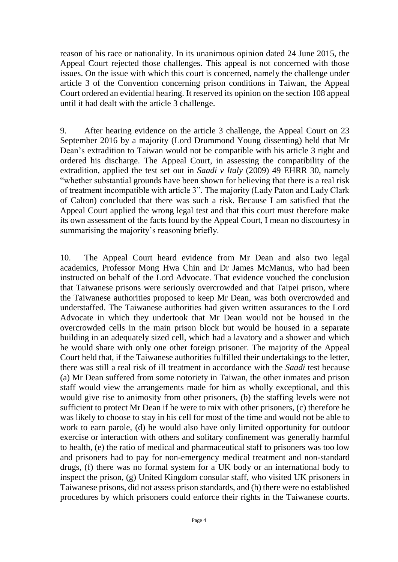reason of his race or nationality. In its unanimous opinion dated 24 June 2015, the Appeal Court rejected those challenges. This appeal is not concerned with those issues. On the issue with which this court is concerned, namely the challenge under article 3 of the Convention concerning prison conditions in Taiwan, the Appeal Court ordered an evidential hearing. It reserved its opinion on the section 108 appeal until it had dealt with the article 3 challenge.

9. After hearing evidence on the article 3 challenge, the Appeal Court on 23 September 2016 by a majority (Lord Drummond Young dissenting) held that Mr Dean's extradition to Taiwan would not be compatible with his article 3 right and ordered his discharge. The Appeal Court, in assessing the compatibility of the extradition, applied the test set out in *Saadi v Italy* (2009) 49 EHRR 30, namely "whether substantial grounds have been shown for believing that there is a real risk of treatment incompatible with article 3". The majority (Lady Paton and Lady Clark of Calton) concluded that there was such a risk. Because I am satisfied that the Appeal Court applied the wrong legal test and that this court must therefore make its own assessment of the facts found by the Appeal Court, I mean no discourtesy in summarising the majority's reasoning briefly.

10. The Appeal Court heard evidence from Mr Dean and also two legal academics, Professor Mong Hwa Chin and Dr James McManus, who had been instructed on behalf of the Lord Advocate. That evidence vouched the conclusion that Taiwanese prisons were seriously overcrowded and that Taipei prison, where the Taiwanese authorities proposed to keep Mr Dean, was both overcrowded and understaffed. The Taiwanese authorities had given written assurances to the Lord Advocate in which they undertook that Mr Dean would not be housed in the overcrowded cells in the main prison block but would be housed in a separate building in an adequately sized cell, which had a lavatory and a shower and which he would share with only one other foreign prisoner. The majority of the Appeal Court held that, if the Taiwanese authorities fulfilled their undertakings to the letter, there was still a real risk of ill treatment in accordance with the *Saadi* test because (a) Mr Dean suffered from some notoriety in Taiwan, the other inmates and prison staff would view the arrangements made for him as wholly exceptional, and this would give rise to animosity from other prisoners, (b) the staffing levels were not sufficient to protect Mr Dean if he were to mix with other prisoners, (c) therefore he was likely to choose to stay in his cell for most of the time and would not be able to work to earn parole, (d) he would also have only limited opportunity for outdoor exercise or interaction with others and solitary confinement was generally harmful to health, (e) the ratio of medical and pharmaceutical staff to prisoners was too low and prisoners had to pay for non-emergency medical treatment and non-standard drugs, (f) there was no formal system for a UK body or an international body to inspect the prison, (g) United Kingdom consular staff, who visited UK prisoners in Taiwanese prisons, did not assess prison standards, and (h) there were no established procedures by which prisoners could enforce their rights in the Taiwanese courts.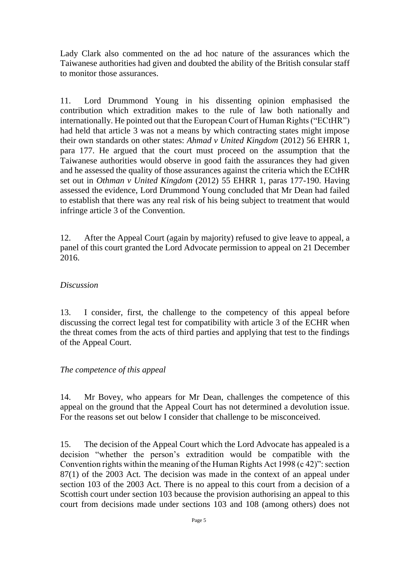Lady Clark also commented on the ad hoc nature of the assurances which the Taiwanese authorities had given and doubted the ability of the British consular staff to monitor those assurances.

11. Lord Drummond Young in his dissenting opinion emphasised the contribution which extradition makes to the rule of law both nationally and internationally. He pointed out that the European Court of Human Rights ("ECtHR") had held that article 3 was not a means by which contracting states might impose their own standards on other states: *Ahmad v United Kingdom* (2012) 56 EHRR 1, para 177. He argued that the court must proceed on the assumption that the Taiwanese authorities would observe in good faith the assurances they had given and he assessed the quality of those assurances against the criteria which the ECtHR set out in *Othman v United Kingdom* (2012) 55 EHRR 1, paras 177-190. Having assessed the evidence, Lord Drummond Young concluded that Mr Dean had failed to establish that there was any real risk of his being subject to treatment that would infringe article 3 of the Convention.

12. After the Appeal Court (again by majority) refused to give leave to appeal, a panel of this court granted the Lord Advocate permission to appeal on 21 December 2016.

#### *Discussion*

13. I consider, first, the challenge to the competency of this appeal before discussing the correct legal test for compatibility with article 3 of the ECHR when the threat comes from the acts of third parties and applying that test to the findings of the Appeal Court.

#### *The competence of this appeal*

14. Mr Bovey, who appears for Mr Dean, challenges the competence of this appeal on the ground that the Appeal Court has not determined a devolution issue. For the reasons set out below I consider that challenge to be misconceived.

15. The decision of the Appeal Court which the Lord Advocate has appealed is a decision "whether the person's extradition would be compatible with the Convention rights within the meaning of the Human Rights Act 1998 (c 42)": section 87(1) of the 2003 Act. The decision was made in the context of an appeal under section 103 of the 2003 Act. There is no appeal to this court from a decision of a Scottish court under section 103 because the provision authorising an appeal to this court from decisions made under sections 103 and 108 (among others) does not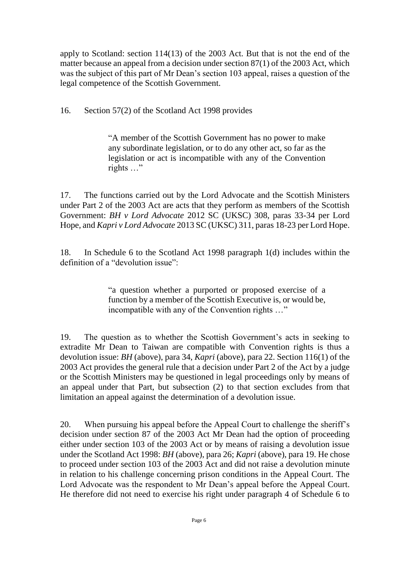apply to Scotland: section 114(13) of the 2003 Act. But that is not the end of the matter because an appeal from a decision under section 87(1) of the 2003 Act, which was the subject of this part of Mr Dean's section 103 appeal, raises a question of the legal competence of the Scottish Government.

16. Section 57(2) of the Scotland Act 1998 provides

"A member of the Scottish Government has no power to make any subordinate legislation, or to do any other act, so far as the legislation or act is incompatible with any of the Convention rights …"

17. The functions carried out by the Lord Advocate and the Scottish Ministers under Part 2 of the 2003 Act are acts that they perform as members of the Scottish Government: *BH v Lord Advocate* 2012 SC (UKSC) 308, paras 33-34 per Lord Hope, and *Kapri v Lord Advocate* 2013 SC (UKSC) 311, paras 18-23 per Lord Hope.

18. In Schedule 6 to the Scotland Act 1998 paragraph 1(d) includes within the definition of a "devolution issue":

> "a question whether a purported or proposed exercise of a function by a member of the Scottish Executive is, or would be, incompatible with any of the Convention rights …"

19. The question as to whether the Scottish Government's acts in seeking to extradite Mr Dean to Taiwan are compatible with Convention rights is thus a devolution issue: *BH* (above), para 34, *Kapri* (above), para 22. Section 116(1) of the 2003 Act provides the general rule that a decision under Part 2 of the Act by a judge or the Scottish Ministers may be questioned in legal proceedings only by means of an appeal under that Part, but subsection (2) to that section excludes from that limitation an appeal against the determination of a devolution issue.

20. When pursuing his appeal before the Appeal Court to challenge the sheriff's decision under section 87 of the 2003 Act Mr Dean had the option of proceeding either under section 103 of the 2003 Act or by means of raising a devolution issue under the Scotland Act 1998: *BH* (above), para 26; *Kapri* (above), para 19. He chose to proceed under section 103 of the 2003 Act and did not raise a devolution minute in relation to his challenge concerning prison conditions in the Appeal Court. The Lord Advocate was the respondent to Mr Dean's appeal before the Appeal Court. He therefore did not need to exercise his right under paragraph 4 of Schedule 6 to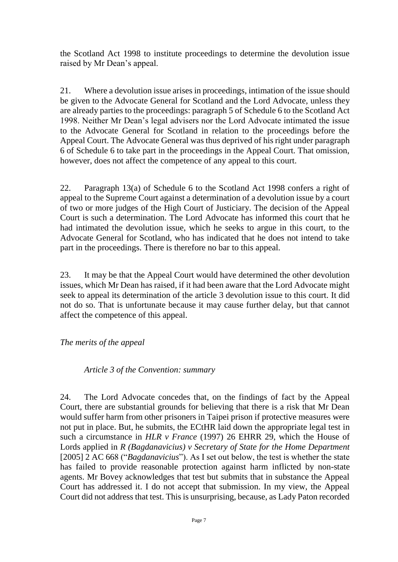the Scotland Act 1998 to institute proceedings to determine the devolution issue raised by Mr Dean's appeal.

21. Where a devolution issue arises in proceedings, intimation of the issue should be given to the Advocate General for Scotland and the Lord Advocate, unless they are already parties to the proceedings: paragraph 5 of Schedule 6 to the Scotland Act 1998. Neither Mr Dean's legal advisers nor the Lord Advocate intimated the issue to the Advocate General for Scotland in relation to the proceedings before the Appeal Court. The Advocate General was thus deprived of his right under paragraph 6 of Schedule 6 to take part in the proceedings in the Appeal Court. That omission, however, does not affect the competence of any appeal to this court.

22. Paragraph 13(a) of Schedule 6 to the Scotland Act 1998 confers a right of appeal to the Supreme Court against a determination of a devolution issue by a court of two or more judges of the High Court of Justiciary. The decision of the Appeal Court is such a determination. The Lord Advocate has informed this court that he had intimated the devolution issue, which he seeks to argue in this court, to the Advocate General for Scotland, who has indicated that he does not intend to take part in the proceedings. There is therefore no bar to this appeal.

23. It may be that the Appeal Court would have determined the other devolution issues, which Mr Dean has raised, if it had been aware that the Lord Advocate might seek to appeal its determination of the article 3 devolution issue to this court. It did not do so. That is unfortunate because it may cause further delay, but that cannot affect the competence of this appeal.

*The merits of the appeal*

*Article 3 of the Convention: summary*

24. The Lord Advocate concedes that, on the findings of fact by the Appeal Court, there are substantial grounds for believing that there is a risk that Mr Dean would suffer harm from other prisoners in Taipei prison if protective measures were not put in place. But, he submits, the ECtHR laid down the appropriate legal test in such a circumstance in *HLR v France* (1997) 26 EHRR 29, which the House of Lords applied in *R (Bagdanavicius) v Secretary of State for the Home Department* [2005] 2 AC 668 ("*Bagdanavicius*"). As I set out below, the test is whether the state has failed to provide reasonable protection against harm inflicted by non-state agents. Mr Bovey acknowledges that test but submits that in substance the Appeal Court has addressed it. I do not accept that submission. In my view, the Appeal Court did not address that test. This is unsurprising, because, as Lady Paton recorded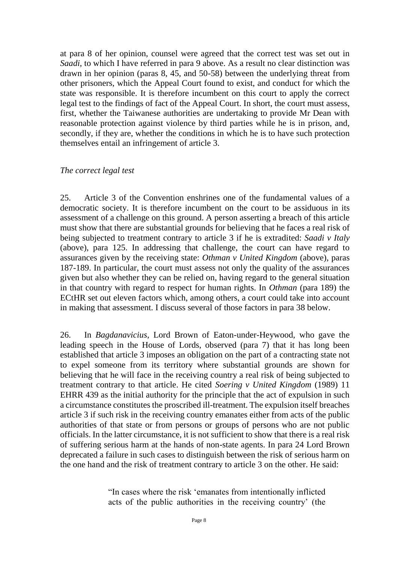at para 8 of her opinion, counsel were agreed that the correct test was set out in *Saadi*, to which I have referred in para 9 above. As a result no clear distinction was drawn in her opinion (paras 8, 45, and 50-58) between the underlying threat from other prisoners, which the Appeal Court found to exist, and conduct for which the state was responsible. It is therefore incumbent on this court to apply the correct legal test to the findings of fact of the Appeal Court. In short, the court must assess, first, whether the Taiwanese authorities are undertaking to provide Mr Dean with reasonable protection against violence by third parties while he is in prison, and, secondly, if they are, whether the conditions in which he is to have such protection themselves entail an infringement of article 3.

#### *The correct legal test*

25. Article 3 of the Convention enshrines one of the fundamental values of a democratic society. It is therefore incumbent on the court to be assiduous in its assessment of a challenge on this ground. A person asserting a breach of this article must show that there are substantial grounds for believing that he faces a real risk of being subjected to treatment contrary to article 3 if he is extradited: *Saadi v Italy* (above), para 125. In addressing that challenge, the court can have regard to assurances given by the receiving state: *Othman v United Kingdom* (above), paras 187-189. In particular, the court must assess not only the quality of the assurances given but also whether they can be relied on, having regard to the general situation in that country with regard to respect for human rights. In *Othman* (para 189) the ECtHR set out eleven factors which, among others, a court could take into account in making that assessment. I discuss several of those factors in para 38 below.

26. In *Bagdanavicius*, Lord Brown of Eaton-under-Heywood, who gave the leading speech in the House of Lords, observed (para 7) that it has long been established that article 3 imposes an obligation on the part of a contracting state not to expel someone from its territory where substantial grounds are shown for believing that he will face in the receiving country a real risk of being subjected to treatment contrary to that article. He cited *Soering v United Kingdom* (1989) 11 EHRR 439 as the initial authority for the principle that the act of expulsion in such a circumstance constitutes the proscribed ill-treatment. The expulsion itself breaches article 3 if such risk in the receiving country emanates either from acts of the public authorities of that state or from persons or groups of persons who are not public officials. In the latter circumstance, it is not sufficient to show that there is a real risk of suffering serious harm at the hands of non-state agents. In para 24 Lord Brown deprecated a failure in such cases to distinguish between the risk of serious harm on the one hand and the risk of treatment contrary to article 3 on the other. He said:

> "In cases where the risk 'emanates from intentionally inflicted acts of the public authorities in the receiving country' (the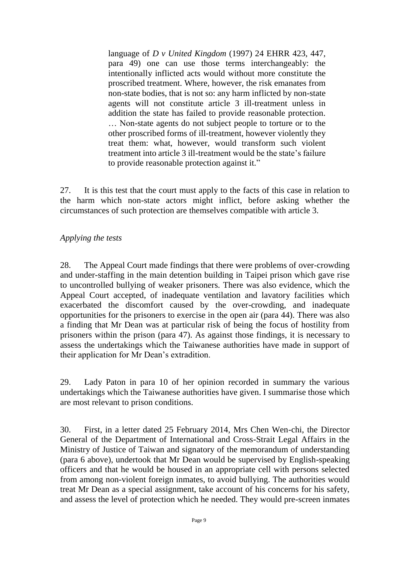language of *D v United Kingdom* (1997) 24 EHRR 423, 447, para 49) one can use those terms interchangeably: the intentionally inflicted acts would without more constitute the proscribed treatment. Where, however, the risk emanates from non-state bodies, that is not so: any harm inflicted by non-state agents will not constitute article 3 ill-treatment unless in addition the state has failed to provide reasonable protection. … Non-state agents do not subject people to torture or to the other proscribed forms of ill-treatment, however violently they treat them: what, however, would transform such violent treatment into article 3 ill-treatment would be the state's failure to provide reasonable protection against it."

27. It is this test that the court must apply to the facts of this case in relation to the harm which non-state actors might inflict, before asking whether the circumstances of such protection are themselves compatible with article 3.

#### *Applying the tests*

28. The Appeal Court made findings that there were problems of over-crowding and under-staffing in the main detention building in Taipei prison which gave rise to uncontrolled bullying of weaker prisoners. There was also evidence, which the Appeal Court accepted, of inadequate ventilation and lavatory facilities which exacerbated the discomfort caused by the over-crowding, and inadequate opportunities for the prisoners to exercise in the open air (para 44). There was also a finding that Mr Dean was at particular risk of being the focus of hostility from prisoners within the prison (para 47). As against those findings, it is necessary to assess the undertakings which the Taiwanese authorities have made in support of their application for Mr Dean's extradition.

29. Lady Paton in para 10 of her opinion recorded in summary the various undertakings which the Taiwanese authorities have given. I summarise those which are most relevant to prison conditions.

30. First, in a letter dated 25 February 2014, Mrs Chen Wen-chi, the Director General of the Department of International and Cross-Strait Legal Affairs in the Ministry of Justice of Taiwan and signatory of the memorandum of understanding (para 6 above), undertook that Mr Dean would be supervised by English-speaking officers and that he would be housed in an appropriate cell with persons selected from among non-violent foreign inmates, to avoid bullying. The authorities would treat Mr Dean as a special assignment, take account of his concerns for his safety, and assess the level of protection which he needed. They would pre-screen inmates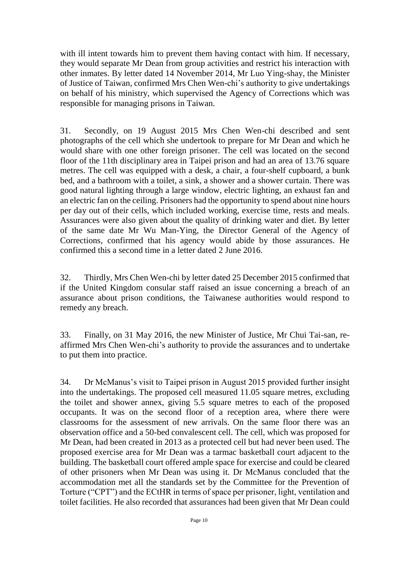with ill intent towards him to prevent them having contact with him. If necessary, they would separate Mr Dean from group activities and restrict his interaction with other inmates. By letter dated 14 November 2014, Mr Luo Ying-shay, the Minister of Justice of Taiwan, confirmed Mrs Chen Wen-chi's authority to give undertakings on behalf of his ministry, which supervised the Agency of Corrections which was responsible for managing prisons in Taiwan.

31. Secondly, on 19 August 2015 Mrs Chen Wen-chi described and sent photographs of the cell which she undertook to prepare for Mr Dean and which he would share with one other foreign prisoner. The cell was located on the second floor of the 11th disciplinary area in Taipei prison and had an area of 13.76 square metres. The cell was equipped with a desk, a chair, a four-shelf cupboard, a bunk bed, and a bathroom with a toilet, a sink, a shower and a shower curtain. There was good natural lighting through a large window, electric lighting, an exhaust fan and an electric fan on the ceiling. Prisoners had the opportunity to spend about nine hours per day out of their cells, which included working, exercise time, rests and meals. Assurances were also given about the quality of drinking water and diet. By letter of the same date Mr Wu Man-Ying, the Director General of the Agency of Corrections, confirmed that his agency would abide by those assurances. He confirmed this a second time in a letter dated 2 June 2016.

32. Thirdly, Mrs Chen Wen-chi by letter dated 25 December 2015 confirmed that if the United Kingdom consular staff raised an issue concerning a breach of an assurance about prison conditions, the Taiwanese authorities would respond to remedy any breach.

33. Finally, on 31 May 2016, the new Minister of Justice, Mr Chui Tai-san, reaffirmed Mrs Chen Wen-chi's authority to provide the assurances and to undertake to put them into practice.

34. Dr McManus's visit to Taipei prison in August 2015 provided further insight into the undertakings. The proposed cell measured 11.05 square metres, excluding the toilet and shower annex, giving 5.5 square metres to each of the proposed occupants. It was on the second floor of a reception area, where there were classrooms for the assessment of new arrivals. On the same floor there was an observation office and a 50-bed convalescent cell. The cell, which was proposed for Mr Dean, had been created in 2013 as a protected cell but had never been used. The proposed exercise area for Mr Dean was a tarmac basketball court adjacent to the building. The basketball court offered ample space for exercise and could be cleared of other prisoners when Mr Dean was using it. Dr McManus concluded that the accommodation met all the standards set by the Committee for the Prevention of Torture ("CPT") and the ECtHR in terms of space per prisoner, light, ventilation and toilet facilities. He also recorded that assurances had been given that Mr Dean could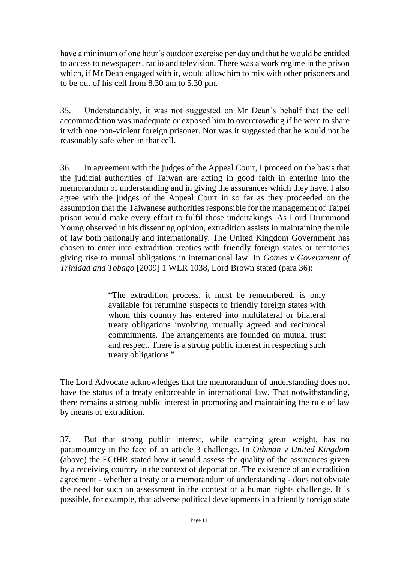have a minimum of one hour's outdoor exercise per day and that he would be entitled to access to newspapers, radio and television. There was a work regime in the prison which, if Mr Dean engaged with it, would allow him to mix with other prisoners and to be out of his cell from 8.30 am to 5.30 pm.

35. Understandably, it was not suggested on Mr Dean's behalf that the cell accommodation was inadequate or exposed him to overcrowding if he were to share it with one non-violent foreign prisoner. Nor was it suggested that he would not be reasonably safe when in that cell.

36. In agreement with the judges of the Appeal Court, I proceed on the basis that the judicial authorities of Taiwan are acting in good faith in entering into the memorandum of understanding and in giving the assurances which they have. I also agree with the judges of the Appeal Court in so far as they proceeded on the assumption that the Taiwanese authorities responsible for the management of Taipei prison would make every effort to fulfil those undertakings. As Lord Drummond Young observed in his dissenting opinion, extradition assists in maintaining the rule of law both nationally and internationally. The United Kingdom Government has chosen to enter into extradition treaties with friendly foreign states or territories giving rise to mutual obligations in international law. In *Gomes v Government of Trinidad and Tobago* [2009] 1 WLR 1038, Lord Brown stated (para 36):

> "The extradition process, it must be remembered, is only available for returning suspects to friendly foreign states with whom this country has entered into multilateral or bilateral treaty obligations involving mutually agreed and reciprocal commitments. The arrangements are founded on mutual trust and respect. There is a strong public interest in respecting such treaty obligations."

The Lord Advocate acknowledges that the memorandum of understanding does not have the status of a treaty enforceable in international law. That notwithstanding, there remains a strong public interest in promoting and maintaining the rule of law by means of extradition.

37. But that strong public interest, while carrying great weight, has no paramountcy in the face of an article 3 challenge. In *Othman v United Kingdom*  (above) the ECtHR stated how it would assess the quality of the assurances given by a receiving country in the context of deportation. The existence of an extradition agreement - whether a treaty or a memorandum of understanding - does not obviate the need for such an assessment in the context of a human rights challenge. It is possible, for example, that adverse political developments in a friendly foreign state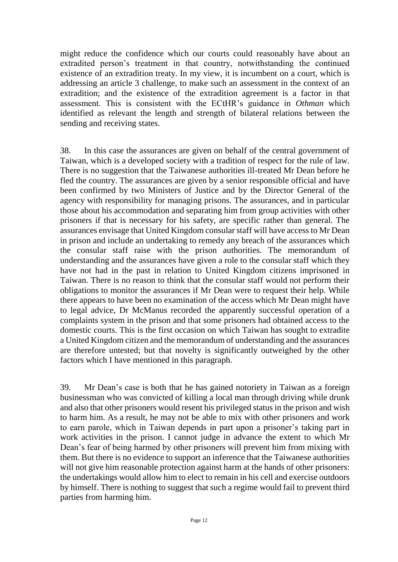might reduce the confidence which our courts could reasonably have about an extradited person's treatment in that country, notwithstanding the continued existence of an extradition treaty. In my view, it is incumbent on a court, which is addressing an article 3 challenge, to make such an assessment in the context of an extradition; and the existence of the extradition agreement is a factor in that assessment. This is consistent with the ECtHR's guidance in *Othman* which identified as relevant the length and strength of bilateral relations between the sending and receiving states.

38. In this case the assurances are given on behalf of the central government of Taiwan, which is a developed society with a tradition of respect for the rule of law. There is no suggestion that the Taiwanese authorities ill-treated Mr Dean before he fled the country. The assurances are given by a senior responsible official and have been confirmed by two Ministers of Justice and by the Director General of the agency with responsibility for managing prisons. The assurances, and in particular those about his accommodation and separating him from group activities with other prisoners if that is necessary for his safety, are specific rather than general. The assurances envisage that United Kingdom consular staff will have access to Mr Dean in prison and include an undertaking to remedy any breach of the assurances which the consular staff raise with the prison authorities. The memorandum of understanding and the assurances have given a role to the consular staff which they have not had in the past in relation to United Kingdom citizens imprisoned in Taiwan. There is no reason to think that the consular staff would not perform their obligations to monitor the assurances if Mr Dean were to request their help. While there appears to have been no examination of the access which Mr Dean might have to legal advice, Dr McManus recorded the apparently successful operation of a complaints system in the prison and that some prisoners had obtained access to the domestic courts. This is the first occasion on which Taiwan has sought to extradite a United Kingdom citizen and the memorandum of understanding and the assurances are therefore untested; but that novelty is significantly outweighed by the other factors which I have mentioned in this paragraph.

39. Mr Dean's case is both that he has gained notoriety in Taiwan as a foreign businessman who was convicted of killing a local man through driving while drunk and also that other prisoners would resent his privileged status in the prison and wish to harm him. As a result, he may not be able to mix with other prisoners and work to earn parole, which in Taiwan depends in part upon a prisoner's taking part in work activities in the prison. I cannot judge in advance the extent to which Mr Dean's fear of being harmed by other prisoners will prevent him from mixing with them. But there is no evidence to support an inference that the Taiwanese authorities will not give him reasonable protection against harm at the hands of other prisoners: the undertakings would allow him to elect to remain in his cell and exercise outdoors by himself. There is nothing to suggest that such a regime would fail to prevent third parties from harming him.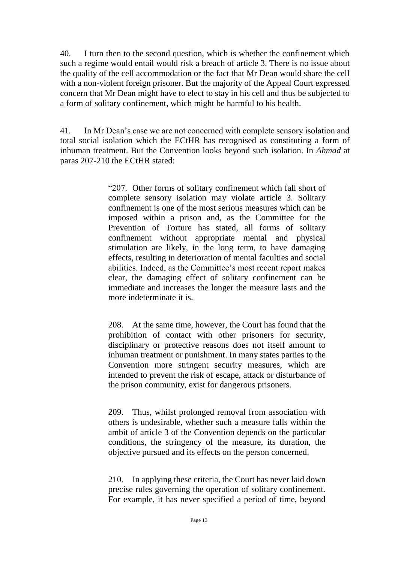40. I turn then to the second question, which is whether the confinement which such a regime would entail would risk a breach of article 3. There is no issue about the quality of the cell accommodation or the fact that Mr Dean would share the cell with a non-violent foreign prisoner. But the majority of the Appeal Court expressed concern that Mr Dean might have to elect to stay in his cell and thus be subjected to a form of solitary confinement, which might be harmful to his health.

41. In Mr Dean's case we are not concerned with complete sensory isolation and total social isolation which the ECtHR has recognised as constituting a form of inhuman treatment. But the Convention looks beyond such isolation. In *Ahmad* at paras 207-210 the ECtHR stated:

> "207. Other forms of solitary confinement which fall short of complete sensory isolation may violate article 3. Solitary confinement is one of the most serious measures which can be imposed within a prison and, as the Committee for the Prevention of Torture has stated, all forms of solitary confinement without appropriate mental and physical stimulation are likely, in the long term, to have damaging effects, resulting in deterioration of mental faculties and social abilities. Indeed, as the Committee's most recent report makes clear, the damaging effect of solitary confinement can be immediate and increases the longer the measure lasts and the more indeterminate it is.

> 208. At the same time, however, the Court has found that the prohibition of contact with other prisoners for security, disciplinary or protective reasons does not itself amount to inhuman treatment or punishment. In many states parties to the Convention more stringent security measures, which are intended to prevent the risk of escape, attack or disturbance of the prison community, exist for dangerous prisoners.

> 209. Thus, whilst prolonged removal from association with others is undesirable, whether such a measure falls within the ambit of article 3 of the Convention depends on the particular conditions, the stringency of the measure, its duration, the objective pursued and its effects on the person concerned.

> 210. In applying these criteria, the Court has never laid down precise rules governing the operation of solitary confinement. For example, it has never specified a period of time, beyond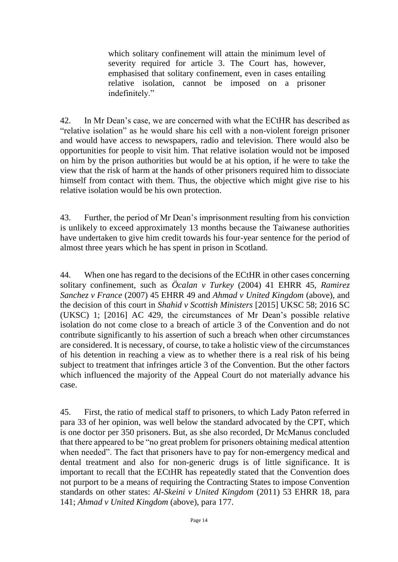which solitary confinement will attain the minimum level of severity required for article 3. The Court has, however, emphasised that solitary confinement, even in cases entailing relative isolation, cannot be imposed on a prisoner indefinitely."

42. In Mr Dean's case, we are concerned with what the ECtHR has described as "relative isolation" as he would share his cell with a non-violent foreign prisoner and would have access to newspapers, radio and television. There would also be opportunities for people to visit him. That relative isolation would not be imposed on him by the prison authorities but would be at his option, if he were to take the view that the risk of harm at the hands of other prisoners required him to dissociate himself from contact with them. Thus, the objective which might give rise to his relative isolation would be his own protection.

43. Further, the period of Mr Dean's imprisonment resulting from his conviction is unlikely to exceed approximately 13 months because the Taiwanese authorities have undertaken to give him credit towards his four-year sentence for the period of almost three years which he has spent in prison in Scotland.

44. When one has regard to the decisions of the ECtHR in other cases concerning solitary confinement, such as *Öcalan v Turkey* (2004) 41 EHRR 45, *Ramirez Sanchez v France* (2007) 45 EHRR 49 and *Ahmad v United Kingdom* (above), and the decision of this court in *Shahid v Scottish Ministers* [2015] UKSC 58; 2016 SC (UKSC) 1; [2016] AC 429, the circumstances of Mr Dean's possible relative isolation do not come close to a breach of article 3 of the Convention and do not contribute significantly to his assertion of such a breach when other circumstances are considered. It is necessary, of course, to take a holistic view of the circumstances of his detention in reaching a view as to whether there is a real risk of his being subject to treatment that infringes article 3 of the Convention. But the other factors which influenced the majority of the Appeal Court do not materially advance his case.

45. First, the ratio of medical staff to prisoners, to which Lady Paton referred in para 33 of her opinion, was well below the standard advocated by the CPT, which is one doctor per 350 prisoners. But, as she also recorded, Dr McManus concluded that there appeared to be "no great problem for prisoners obtaining medical attention when needed". The fact that prisoners have to pay for non-emergency medical and dental treatment and also for non-generic drugs is of little significance. It is important to recall that the ECtHR has repeatedly stated that the Convention does not purport to be a means of requiring the Contracting States to impose Convention standards on other states: *Al-Skeini v United Kingdom* (2011) 53 EHRR 18, para 141; *Ahmad v United Kingdom* (above), para 177.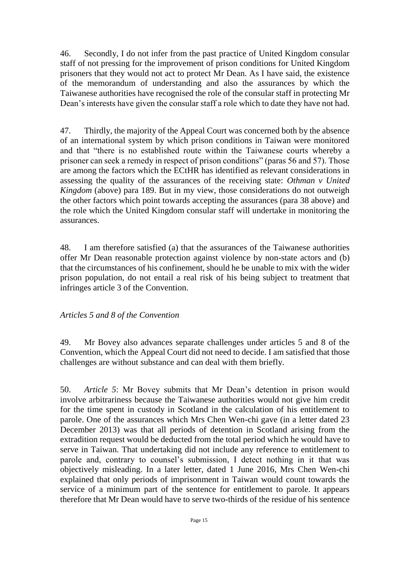46. Secondly, I do not infer from the past practice of United Kingdom consular staff of not pressing for the improvement of prison conditions for United Kingdom prisoners that they would not act to protect Mr Dean. As I have said, the existence of the memorandum of understanding and also the assurances by which the Taiwanese authorities have recognised the role of the consular staff in protecting Mr Dean's interests have given the consular staff a role which to date they have not had.

47. Thirdly, the majority of the Appeal Court was concerned both by the absence of an international system by which prison conditions in Taiwan were monitored and that "there is no established route within the Taiwanese courts whereby a prisoner can seek a remedy in respect of prison conditions" (paras 56 and 57). Those are among the factors which the ECtHR has identified as relevant considerations in assessing the quality of the assurances of the receiving state: *Othman v United Kingdom* (above) para 189. But in my view, those considerations do not outweigh the other factors which point towards accepting the assurances (para 38 above) and the role which the United Kingdom consular staff will undertake in monitoring the assurances.

48. I am therefore satisfied (a) that the assurances of the Taiwanese authorities offer Mr Dean reasonable protection against violence by non-state actors and (b) that the circumstances of his confinement, should he be unable to mix with the wider prison population, do not entail a real risk of his being subject to treatment that infringes article 3 of the Convention.

### *Articles 5 and 8 of the Convention*

49. Mr Bovey also advances separate challenges under articles 5 and 8 of the Convention, which the Appeal Court did not need to decide. I am satisfied that those challenges are without substance and can deal with them briefly.

50. *Article 5*: Mr Bovey submits that Mr Dean's detention in prison would involve arbitrariness because the Taiwanese authorities would not give him credit for the time spent in custody in Scotland in the calculation of his entitlement to parole. One of the assurances which Mrs Chen Wen-chi gave (in a letter dated 23 December 2013) was that all periods of detention in Scotland arising from the extradition request would be deducted from the total period which he would have to serve in Taiwan. That undertaking did not include any reference to entitlement to parole and, contrary to counsel's submission, I detect nothing in it that was objectively misleading. In a later letter, dated 1 June 2016, Mrs Chen Wen-chi explained that only periods of imprisonment in Taiwan would count towards the service of a minimum part of the sentence for entitlement to parole. It appears therefore that Mr Dean would have to serve two-thirds of the residue of his sentence